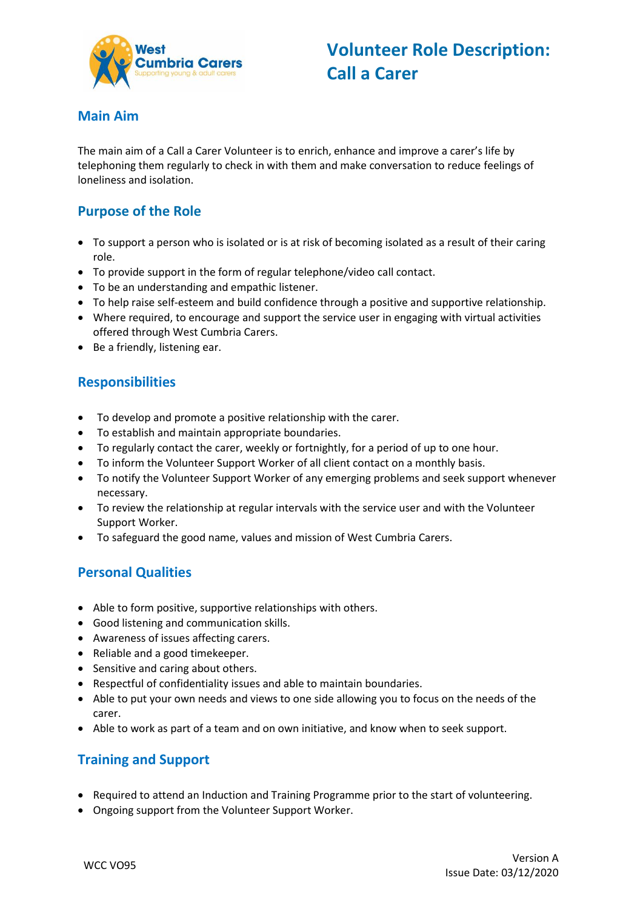

#### **Main Aim**

The main aim of a Call a Carer Volunteer is to enrich, enhance and improve a carer's life by telephoning them regularly to check in with them and make conversation to reduce feelings of loneliness and isolation.

# **Purpose of the Role**

- To support a person who is isolated or is at risk of becoming isolated as a result of their caring role.
- To provide support in the form of regular telephone/video call contact.
- To be an understanding and empathic listener.
- To help raise self-esteem and build confidence through a positive and supportive relationship.
- Where required, to encourage and support the service user in engaging with virtual activities offered through West Cumbria Carers.
- Be a friendly, listening ear.

#### **Responsibilities**

- To develop and promote a positive relationship with the carer.
- To establish and maintain appropriate boundaries.
- To regularly contact the carer, weekly or fortnightly, for a period of up to one hour.
- To inform the Volunteer Support Worker of all client contact on a monthly basis.
- To notify the Volunteer Support Worker of any emerging problems and seek support whenever necessary.
- To review the relationship at regular intervals with the service user and with the Volunteer Support Worker.
- To safeguard the good name, values and mission of West Cumbria Carers.

## **Personal Qualities**

- Able to form positive, supportive relationships with others.
- Good listening and communication skills.
- Awareness of issues affecting carers.
- Reliable and a good timekeeper.
- Sensitive and caring about others.
- Respectful of confidentiality issues and able to maintain boundaries.
- Able to put your own needs and views to one side allowing you to focus on the needs of the carer.
- Able to work as part of a team and on own initiative, and know when to seek support.

## **Training and Support**

- Required to attend an Induction and Training Programme prior to the start of volunteering.
- Ongoing support from the Volunteer Support Worker.